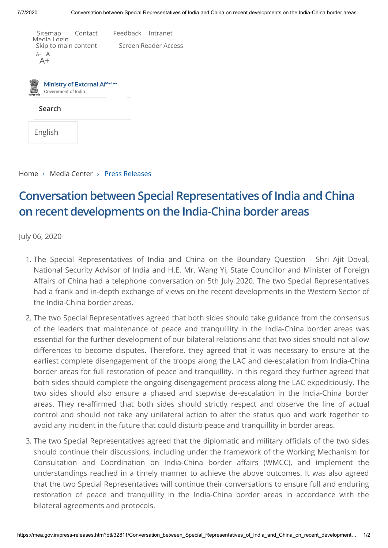

[Home](https://mea.gov.in/index.htm) > Media Center > Press Releases

## <span id="page-0-0"></span>**Conversation between Special Representatives of India and China on recent developments on the India-China border areas**

July 06, 2020

- 1. The Special Representatives of India and China on the Boundary Question Shri Ajit Doval, National Security Advisor of India and H.E. Mr. Wang Yi, State Councillor and Minister of Foreign Affairs of China had a telephone conversation on 5th July 2020. The two Special Representatives had a frank and in-depth exchange of views on the recent developments in the Western Sector of the India-China border areas.
- 2. The two Special Representatives agreed that both sides should take guidance from the consensus of the leaders that maintenance of peace and tranquillity in the India-China border areas was essential for the further development of our bilateral relations and that two sides should not allow differences to become disputes. Therefore, they agreed that it was necessary to ensure at the earliest complete disengagement of the troops along the LAC and de-escalation from India-China border areas for full restoration of peace and tranquillity. In this regard they further agreed that both sides should complete the ongoing disengagement process along the LAC expeditiously. The two sides should also ensure a phased and stepwise de-escalation in the India-China border areas. They re-affirmed that both sides should strictly respect and observe the line of actual control and should not take any unilateral action to alter the status quo and work together to avoid any incident in the future that could disturb peace and tranquillity in border areas.
- 3. The two Special Representatives agreed that the diplomatic and military officials of the two sides should continue their discussions, including under the framework of the Working Mechanism for Consultation and Coordination on India-China border affairs (WMCC), and implement the understandings reached in a timely manner to achieve the above outcomes. It was also agreed that the two Special Representatives will continue their conversations to ensure full and enduring restoration of peace and tranquillity in the India-China border areas in accordance with the bilateral agreements and protocols.